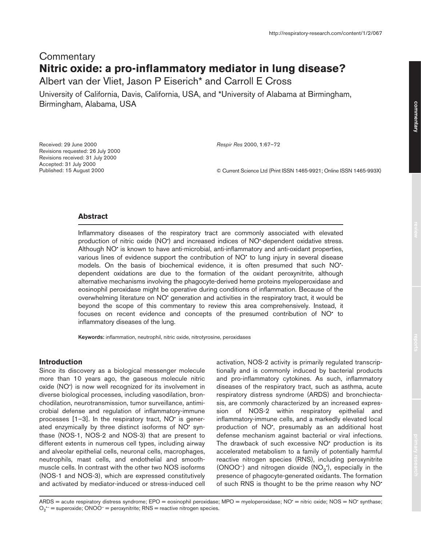# **Commentary Nitric oxide: a pro-inflammatory mediator in lung disease?**

Albert van der Vliet, Jason P Eiserich\* and Carroll E Cross

University of California, Davis, California, USA, and \*University of Alabama at Birmingham, Birmingham, Alabama, USA

Received: 29 June 2000 Revisions requested: 26 July 2000 Revisions received: 31 July 2000 Accepted: 31 July 2000 Published: 15 August 2000

*Respir Res* 2000, **1**:67–72

© Current Science Ltd (Print ISSN 1465-9921; Online ISSN 1465-993X)

# **Abstract**

Inflammatory diseases of the respiratory tract are commonly associated with elevated production of nitric oxide (NO<sup>+</sup>) and increased indices of NO<sup>+</sup>-dependent oxidative stress. Although NO<sup>•</sup> is known to have anti-microbial, anti-inflammatory and anti-oxidant properties, various lines of evidence support the contribution of NO• to lung injury in several disease models. On the basis of biochemical evidence, it is often presumed that such NO<sup>-</sup>dependent oxidations are due to the formation of the oxidant peroxynitrite, although alternative mechanisms involving the phagocyte-derived heme proteins myeloperoxidase and eosinophil peroxidase might be operative during conditions of inflammation. Because of the overwhelming literature on NO• generation and activities in the respiratory tract, it would be beyond the scope of this commentary to review this area comprehensively. Instead, it focuses on recent evidence and concepts of the presumed contribution of NO• to inflammatory diseases of the lung.

**Keywords:** inflammation, neutrophil, nitric oxide, nitrotyrosine, peroxidases

#### **Introduction**

Since its discovery as a biological messenger molecule more than 10 years ago, the gaseous molecule nitric oxide (NO• ) is now well recognized for its involvement in diverse biological processes, including vasodilation, bronchodilation, neurotransmission, tumor surveillance, antimicrobial defense and regulation of inflammatory-immune processes [1–3]. In the respiratory tract, NO• is generated enzymically by three distinct isoforms of NO• synthase (NOS-1, NOS-2 and NOS-3) that are present to different extents in numerous cell types, including airway and alveolar epithelial cells, neuronal cells, macrophages, neutrophils, mast cells, and endothelial and smoothmuscle cells. In contrast with the other two NOS isoforms (NOS-1 and NOS-3), which are expressed constitutively and activated by mediator-induced or stress-induced cell

activation, NOS-2 activity is primarily regulated transcriptionally and is commonly induced by bacterial products and pro-inflammatory cytokines. As such, inflammatory diseases of the respiratory tract, such as asthma, acute respiratory distress syndrome (ARDS) and bronchiectasis, are commonly characterized by an increased expression of NOS-2 within respiratory epithelial and inflammatory-immune cells, and a markedly elevated local production of NO<sup>\*</sup>, presumably as an additional host defense mechanism against bacterial or viral infections. The drawback of such excessive NO<sup>•</sup> production is its accelerated metabolism to a family of potentially harmful reactive nitrogen species (RNS), including peroxynitrite (ONOO<sup>-</sup>) and nitrogen dioxide  $(NO<sub>2</sub>$ <sup>\*</sup>), especially in the presence of phagocyte-generated oxidants. The formation of such RNS is thought to be the prime reason why NO•

ARDS = acute respiratory distress syndrome; EPO = eosinophil peroxidase; MPO = myeloperoxidase; NO<sup>+</sup> = nitric oxide; NOS = NO<sup>+</sup> synthase;  $O_2$ <sup>--</sup> = superoxide; ONOO<sup>-</sup> = peroxynitrite; RNS = reactive nitrogen species.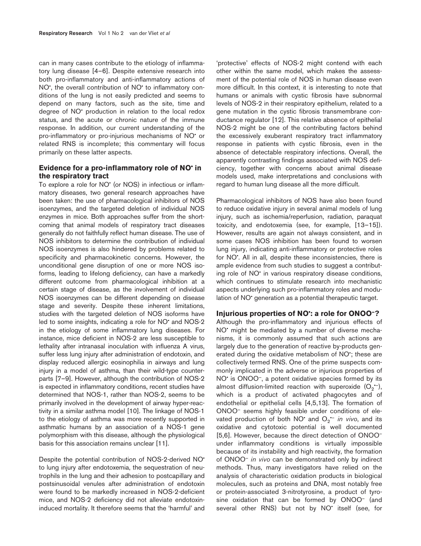can in many cases contribute to the etiology of inflammatory lung disease [4–6]. Despite extensive research into both pro-inflammatory and anti-inflammatory actions of NO<sup>•</sup>, the overall contribution of NO<sup>•</sup> to inflammatory conditions of the lung is not easily predicted and seems to depend on many factors, such as the site, time and degree of NO• production in relation to the local redox status, and the acute or chronic nature of the immune response. In addition, our current understanding of the pro-inflammatory or pro-injurious mechanisms of NO• or related RNS is incomplete; this commentary will focus primarily on these latter aspects.

## **Evidence for a pro-inflammatory role of NO• in the respiratory tract**

To explore a role for NO<sup>•</sup> (or NOS) in infectious or inflammatory diseases, two general research approaches have been taken: the use of pharmacological inhibitors of NOS isoenzymes, and the targeted deletion of individual NOS enzymes in mice. Both approaches suffer from the shortcoming that animal models of respiratory tract diseases generally do not faithfully reflect human disease. The use of NOS inhibitors to determine the contribution of individual NOS isoenzymes is also hindered by problems related to specificity and pharmacokinetic concerns. However, the unconditional gene disruption of one or more NOS isoforms, leading to lifelong deficiency, can have a markedly different outcome from pharmacological inhibition at a certain stage of disease, as the involvement of individual NOS isoenzymes can be different depending on disease stage and severity. Despite these inherent limitations, studies with the targeted deletion of NOS isoforms have led to some insights, indicating a role for NO• and NOS-2 in the etiology of some inflammatory lung diseases. For instance, mice deficient in NOS-2 are less susceptible to lethality after intranasal inoculation with influenza A virus, suffer less lung injury after administration of endotoxin, and display reduced allergic eosinophilia in airways and lung injury in a model of asthma, than their wild-type counterparts [7–9]. However, although the contribution of NOS-2 is expected in inflammatory conditions, recent studies have determined that NOS-1, rather than NOS-2, seems to be primarily involved in the development of airway hyper-reactivity in a similar asthma model [10]. The linkage of NOS-1 to the etiology of asthma was more recently supported in asthmatic humans by an association of a NOS-1 gene polymorphism with this disease, although the physiological basis for this association remains unclear [11].

Despite the potential contribution of NOS-2-derived NO• to lung injury after endotoxemia, the sequestration of neutrophils in the lung and their adhesion to postcapillary and postsinusoidal venules after administration of endotoxin were found to be markedly increased in NOS-2-deficient mice, and NOS-2 deficiency did not alleviate endotoxininduced mortality. It therefore seems that the 'harmful' and

'protective' effects of NOS-2 might contend with each other within the same model, which makes the assessment of the potential role of NOS in human disease even more difficult. In this context, it is interesting to note that humans or animals with cystic fibrosis have subnormal levels of NOS-2 in their respiratory epithelium, related to a gene mutation in the cystic fibrosis transmembrane conductance regulator [12]. This relative absence of epithelial NOS-2 might be one of the contributing factors behind the excessively exuberant respiratory tract inflammatory response in patients with cystic fibrosis, even in the absence of detectable respiratory infections. Overall, the apparently contrasting findings associated with NOS deficiency, together with concerns about animal disease models used, make interpretations and conclusions with regard to human lung disease all the more difficult.

Pharmacological inhibitors of NOS have also been found to reduce oxidative injury in several animal models of lung injury, such as ischemia/reperfusion, radiation, paraquat toxicity, and endotoxemia (see, for example, [13–15]). However, results are again not always consistent, and in some cases NOS inhibition has been found to worsen lung injury, indicating anti-inflammatory or protective roles for NO<sup>•</sup>. All in all, despite these inconsistencies, there is ample evidence from such studies to suggest a contributing role of NO• in various respiratory disease conditions, which continues to stimulate research into mechanistic aspects underlying such pro-inflammatory roles and modulation of NO• generation as a potential therapeutic target.

## **Injurious properties of NO• : a role for ONOO–?**

Although the pro-inflammatory and injurious effects of NO• might be mediated by a number of diverse mechanisms, it is commonly assumed that such actions are largely due to the generation of reactive by-products generated during the oxidative metabolism of NO• ; these are collectively termed RNS. One of the prime suspects commonly implicated in the adverse or injurious properties of NO<sup>•</sup> is ONOO<sup>-</sup>, a potent oxidative species formed by its almost diffusion-limited reaction with superoxide  $(O_2^{\text{-}}),$ which is a product of activated phagocytes and of endothelial or epithelial cells [4,5,13]. The formation of ONOO– seems highly feasible under conditions of elevated production of both NO<sup>•</sup> and O<sub>2</sub><sup>•–</sup> *in vivo*, and its oxidative and cytotoxic potential is well documented [5,6]. However, because the direct detection of ONOO– under inflammatory conditions is virtually impossible because of its instability and high reactivity, the formation of ONOO– *in vivo* can be demonstrated only by indirect methods. Thus, many investigators have relied on the analysis of characteristic oxidation products in biological molecules, such as proteins and DNA, most notably free or protein-associated 3-nitrotyrosine, a product of tyrosine oxidation that can be formed by ONOO<sup>-</sup> (and several other RNS) but not by NO<sup>•</sup> itself (see, for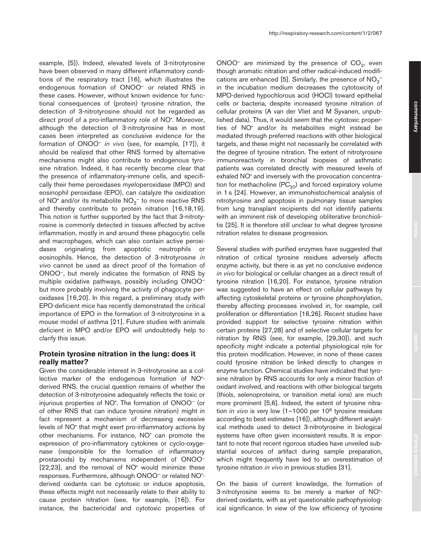example, [5]). Indeed, elevated levels of 3-nitrotyrosine have been observed in many different inflammatory conditions of the respiratory tract [16], which illustrates the endogenous formation of ONOO– or related RNS in these cases. However, without known evidence for functional consequences of (protein) tyrosine nitration, the detection of 3-nitrotyrosine should not be regarded as direct proof of a pro-inflammatory role of NO<sup>\*</sup>. Moreover, although the detection of 3-nitrotyrosine has in most cases been interpreted as conclusive evidence for the formation of ONOO– *in vivo* (see, for example, [17]), it should be realized that other RNS formed by alternative mechanisms might also contribute to endogenous tyrosine nitration. Indeed, it has recently become clear that the presence of inflammatory-immune cells, and specifically their heme peroxidases myeloperoxidase (MPO) and eosinophil peroxidase (EPO), can catalyze the oxidization of NO<sup>•</sup> and/or its metabolite  $NO_2^-$  to more reactive RNS and thereby contribute to protein nitration [16,18,19]. This notion is further supported by the fact that 3-nitrotyrosine is commonly detected in tissues affected by active inflammation, mostly in and around these phagocytic cells and macrophages, which can also contain active peroxidases originating from apoptotic neutrophils or eosinophils. Hence, the detection of 3-nitrotyrosine *in vivo* cannot be used as direct proof of the formation of ONOO–, but merely indicates the formation of RNS by multiple oxidative pathways, possibly including ONOO– but more probably involving the activity of phagocyte peroxidases [16,20]. In this regard, a preliminary study with EPO-deficient mice has recently demonstrated the critical importance of EPO in the formation of 3-nitrotyrosine in a mouse model of asthma [21]. Future studies with animals deficient in MPO and/or EPO will undoubtedly help to clarify this issue.

## **Protein tyrosine nitration in the lung: does it really matter?**

Given the considerable interest in 3-nitrotyrosine as a collective marker of the endogenous formation of NO<sup>\*</sup>derived RNS, the crucial question remains of whether the detection of 3-nitrotyrosine adequately reflects the toxic or injurious properties of NO• . The formation of ONOO– (or of other RNS that can induce tyrosine nitration) might in fact represent a mechanism of decreasing excessive levels of NO• that might exert pro-inflammatory actions by other mechanisms. For instance, NO• can promote the expression of pro-inflammatory cytokines or cyclo-oxygenase (responsible for the formation of inflammatory prostanoids) by mechanisms independent of ONOO– [22,23], and the removal of NO• would minimize these responses. Furthermore, although ONOO<sup>-</sup> or related NO<sup>\*</sup>derived oxidants can be cytotoxic or induce apoptosis, these effects might not necessarily relate to their ability to cause protein nitration (see, for example, [16]). For instance, the bactericidal and cytotoxic properties of commentary **commentary**

ONOO<sup>-</sup> are minimized by the presence of  $CO<sub>2</sub>$ , even though aromatic nitration and other radical-induced modifications are enhanced [5]. Similarly, the presence of  $NO_2^$ in the incubation medium decreases the cytotoxicity of MPO-derived hypochlorous acid (HOCl) toward epithelial cells or bacteria, despite increased tyrosine nitration of cellular proteins (A van der Vliet and M Syvanen, unpublished data). Thus, it would seem that the cytotoxic properties of NO• and/or its metabolites might instead be mediated through preferred reactions with other biological targets, and these might not necessarily be correlated with the degree of tyrosine nitration. The extent of nitrotyrosine immunoreactivity in bronchial biopsies of asthmatic patients was correlated directly with measured levels of exhaled NO<sup>•</sup> and inversely with the provocation concentration for methacholine ( $PC_{20}$ ) and forced expiratory volume in 1 s [24]. However, an immunohistochemical analysis of nitrotyrosine and apoptosis in pulmonary tissue samples from lung transplant recipients did not identify patients with an imminent risk of developing obliterative bronchiolitis [25]. It is therefore still unclear to what degree tyrosine nitration relates to disease progression.

Several studies with purified enzymes have suggested that nitration of critical tyrosine residues adversely affects enzyme activity, but there is as yet no conclusive evidence *in vivo* for biological or cellular changes as a direct result of tyrosine nitration [16,20]. For instance, tyrosine nitration was suggested to have an effect on cellular pathways by affecting cytoskeletal proteins or tyrosine phosphorylation, thereby affecting processes involved in, for example, cell proliferation or differentiation [16,26]. Recent studies have provided support for selective tyrosine nitration within certain proteins [27,28] and of selective cellular targets for nitration by RNS (see, for example, [29,30]), and such specificity might indicate a potential physiological role for this protein modification. However, in none of these cases could tyrosine nitration be linked directly to changes in enzyme function. Chemical studies have indicated that tyrosine nitration by RNS accounts for only a minor fraction of oxidant involved, and reactions with other biological targets (thiols, selenoproteins, or transition metal ions) are much more prominent [5,6]. Indeed, the extent of tyrosine nitration *in vivo* is very low (1–1000 per 106 tyrosine residues according to best estimates [16]), although different analytical methods used to detect 3-nitrotyrosine in biological systems have often given inconsistent results. It is important to note that recent rigorous studies have unveiled substantial sources of artifact during sample preparation, which might frequently have led to an overestimation of tyrosine nitration *in vivo* in previous studies [31].

On the basis of current knowledge, the formation of 3-nitrotyrosine seems to be merely a marker of NO• derived oxidants, with as yet questionable pathophysiological significance. In view of the low efficiency of tyrosine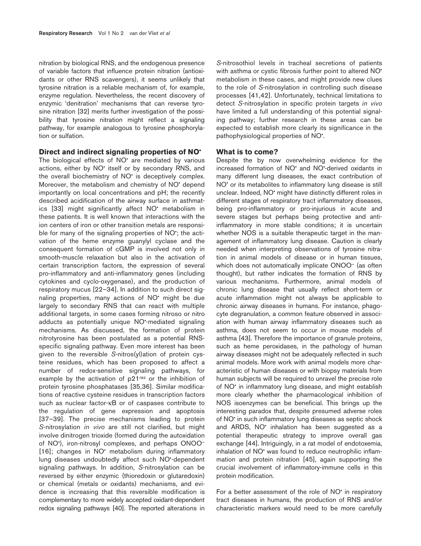nitration by biological RNS, and the endogenous presence of variable factors that influence protein nitration (antioxidants or other RNS scavengers), it seems unlikely that tyrosine nitration is a reliable mechanism of, for example, enzyme regulation. Nevertheless, the recent discovery of enzymic 'denitration' mechanisms that can reverse tyrosine nitration [32] merits further investigation of the possibility that tyrosine nitration might reflect a signaling pathway, for example analogous to tyrosine phosphorylation or sulfation.

#### **Direct and indirect signaling properties of NO•**

The biological effects of NO<sup>•</sup> are mediated by various actions, either by NO<sup>•</sup> itself or by secondary RNS, and the overall biochemistry of NO• is deceptively complex. Moreover, the metabolism and chemistry of NO• depend importantly on local concentrations and pH; the recently described acidification of the airway surface in asthmatics [33] might significantly affect NO• metabolism in these patients. It is well known that interactions with the ion centers of iron or other transition metals are responsible for many of the signaling properties of NO• ; the activation of the heme enzyme guanylyl cyclase and the consequent formation of cGMP is involved not only in smooth-muscle relaxation but also in the activation of certain transcription factors, the expression of several pro-inflammatory and anti-inflammatory genes (including cytokines and cyclo-oxygenase), and the production of respiratory mucus [22–34]. In addition to such direct signaling properties, many actions of NO• might be due largely to secondary RNS that can react with multiple additional targets, in some cases forming nitroso or nitro adducts as potentially unique NO<sup>\*</sup>-mediated signaling mechanisms. As discussed, the formation of protein nitrotyrosine has been postulated as a potential RNSspecific signaling pathway. Even more interest has been given to the reversible *S*-nitros(yl)ation of protein cysteine residues, which has been proposed to affect a number of redox-sensitive signaling pathways, for example by the activation of p21*ras* or the inhibition of protein tyrosine phosphatases [35,36]. Similar modifications of reactive cysteine residues in transcription factors such as nuclear factor-κB or of caspases contribute to the regulation of gene expression and apoptosis [37–39]. The precise mechanisms leading to protein *S*-nitrosylation *in vivo* are still not clarified, but might involve dinitrogen trioxide (formed during the autoxidation of NO• ), iron-nitrosyl complexes, and perhaps ONOO– [16]; changes in NO<sup>•</sup> metabolism during inflammatory lung diseases undoubtedly affect such NO• -dependent signaling pathways. In addition, *S*-nitrosylation can be reversed by either enzymic (thioredoxin or glutaredoxin) or chemical (metals or oxidants) mechanisms, and evidence is increasing that this reversible modification is complementary to more widely accepted oxidant-dependent redox signaling pathways [40]. The reported alterations in

*S*-nitrosothiol levels in tracheal secretions of patients with asthma or cystic fibrosis further point to altered NO<sup>\*</sup> metabolism in these cases, and might provide new clues to the role of *S*-nitrosylation in controlling such disease processes [41,42]. Unfortunately, technical limitations to detect *S*-nitrosylation in specific protein targets *in vivo* have limited a full understanding of this potential signaling pathway; further research in these areas can be expected to establish more clearly its significance in the pathophysiological properties of NO<sup>\*</sup>.

## **What is to come?**

Despite the by now overwhelming evidence for the increased formation of NO• and NO• -derived oxidants in many different lung diseases, the exact contribution of NO• or its metabolites to inflammatory lung disease is still unclear. Indeed, NO• might have distinctly different roles in different stages of respiratory tract inflammatory diseases, being pro-inflammatory or pro-injurious in acute and severe stages but perhaps being protective and antiinflammatory in more stable conditions; it is uncertain whether NOS is a suitable therapeutic target in the management of inflammatory lung disease. Caution is clearly needed when interpreting observations of tyrosine nitration in animal models of disease or in human tissues, which does not automatically implicate ONOO<sup>-</sup> (as often thought), but rather indicates the formation of RNS by various mechanisms. Furthermore, animal models of chronic lung disease that usually reflect short-term or acute inflammation might not always be applicable to chronic airway diseases in humans. For instance, phagocyte degranulation, a common feature observed in association with human airway inflammatory diseases such as asthma, does not seem to occur in mouse models of asthma [43]. Therefore the importance of granule proteins, such as heme peroxidases, in the pathology of human airway diseases might not be adequately reflected in such animal models. More work with animal models more characteristic of human diseases or with biopsy materials from human subjects will be required to unravel the precise role of NO• in inflammatory lung disease, and might establish more clearly whether the pharmacological inhibition of NOS isoenzymes can be beneficial. This brings up the interesting paradox that, despite presumed adverse roles of NO• in such inflammatory lung diseases as septic shock and ARDS, NO• inhalation has been suggested as a potential therapeutic strategy to improve overall gas exchange [44]. Intriguingly, in a rat model of endotoxemia, inhalation of NO<sup>•</sup> was found to reduce neutrophilic inflammation and protein nitration [45], again supporting the crucial involvement of inflammatory-immune cells in this protein modification.

For a better assessment of the role of NO<sup>•</sup> in respiratory tract diseases in humans, the production of RNS and/or characteristic markers would need to be more carefully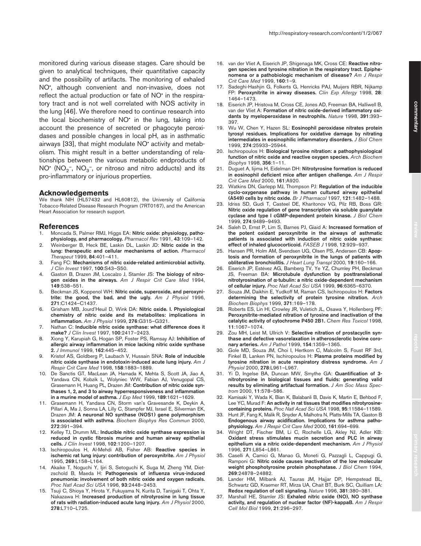16. van der Vliet A, Eiserich JP, Shigenaga MK, Cross CE: **Reactive nitrogen species and tyrosine nitration in the respiratory tract. Epiphenomena or a pathobiologic mechanism of disease?** *Am J Respir Crit Care Med* 1999, **160**:1–9. 17. Sadeghi-Hashjin G, Folkerts G, Henricks PAJ, Muijers RBR, Nijkamp FP: **Peroxynitrite in airway diseases.** *Clin Exp Allergy* 1998, **28**: 1464–1473. 18. Eiserich JP, Hristova M, Cross CE, Jones AD, Freeman BA, Halliwell B, van der Vliet A: **Formation of nitric oxide-derived inflammatory oxidants by myeloperoxidase in neutrophils.** *Nature* 1998, **391**:393– 19. Wu W, Chen Y, Hazen SL: **Eosinophil peroxidase nitrates protein**

397.

**tyrosyl residues. Implications for oxidative damage by nitrating intermediates in eosinophilic inflammatory disorders.** *J Biol Chem* 1999, **274**:25933–25944. 20. Ischiropoulos H: **Biological tyrosine nitration: a pathophysiological**

**function of nitric oxide and reactive oxygen species.** *Arch Biochem Biophys* 1998, **356**:1–11.

21. Duguet A, Iijima H, Eidelman DH: **Nitrotyrosine formation is reduced in eosinophil deficient mice after antigen challenge.** *Am J Respir Crit Care Med* 2000, **161**:A920.

22. Watkins DN, Garlepp MJ, Thompson PJ: **Regulation of the inducible cyclo-oxygenase pathway in human cultured airway epithelial (A549) cells by nitric oxide.** *Br J Pharmacol* 1997, **121**:1482–1488.

23. Idriss SD, Gudi T, Casteel DE, Kharitonov VG, Pilz RB, Boss GR: **Nitric oxide regulation of gene transcription via soluble guanylate cyclase and type I cGMP-dependent protein kinase.** *J Biol Chem* 1999, **274**:9489–9493.

24. Saleh D, Ernst P, Lim S, Barnes PJ, Giaid A: **Increased formation of the potent oxidant peroxynitrite in the airways of asthmatic patients is associated with induction of nitric oxide synthase: effect of inhaled glucocorticoid.** *FASEB J* 1998, **12**:929–937.

- 25. Hansen PR, Holm AM, Svendsen UG, Olsen PS, Andersen CB: **Apoptosis and formation of peroxynitrite in the lungs of patients with obliterative bronchiolitis.** *J Heart Lung Transpl* 2000, **19**:160–166.
- 26. Eiserich JP, Estévez AG, Bamberg TV, Ye YZ, Chumley PH, Beckman JS, Freeman BA: **Microtubule dysfunction by posttranslational nitrotyrosination of** α**-tubulin: a nitric oxide-dependent mechanism of cellular injury.** *Proc Natl Acad Sci USA* 1999, **96**:6365–6370.
- 27. Souza JM, Daikhin E, Yudkoff M, Raman CS, Ischiropoulos H: **Factors determining the selectivity of protein tyrosine nitration.** *Arch Biochem Biophys* 1999, **371**:169–178.
- 28. Roberts ES, Lin Hl, Crowley JR, Vuletich JL, Osawa Y, Hollenberg PF: **Peroxynitrite-mediated nitration of tyrosine and inactivation of the catalytic activity of cytochrome P450 2B1.** *Chem Res Toxicol* 1998, **11**:1067–1074.
- 29. Zou MH, Leist M, Ullrich V: **Selective nitration of prostacyclin synthase and defective vasorelaxation in atherosclerotic bovine coronary arteries.** *Am J Pathol* 1999, **154**:1359–1365.
- 30. Gole MD, Souza JM, Choi I, Hertkorn C, Malcolm S, Foust RF 3rd, Finkel B, Lanken PN, Ischiropoulos H: **Plasma proteins modified by tyrosine nitration in acute respiratory distress syndrome.** *Am J Physiol* 2000, **278**:L961–L967.
- 31. Yi D, Ingelse BA, Duncan MW, Smythe GA: **Quantification of 3 nitrotyrosine in biological tissues and fluids: generating valid results by eliminating artifactual formation.** *J Am Soc Mass Spectrom* 2000, **11**:578–586.
- 32. Kamisaki Y, Wada K, Bian K, Balabanli B, Davis K, Martin E, Behbod F, Lee YC, Murad F: **An activity in rat tissues that modifies nitrotyrosinecontaining proteins.** *Proc Natl Acad Sci USA* 1998, **95**:11584–11589.
- 33. Hunt JF, Fang K, Malik R, Snyder A, Malhotra N, Platts-Mills TA, Gaston B **Endogenous airway acidification. Implications for asthma pathophysiology.** *Am J Respir Crit Care Med* 2000, **161**:694–699.
- 34. Wright DT, Fischer BM, Li C, Rochelle LG, Akley NJ, Adler KB: **Oxidant stress stimulates mucin secretion and PLC in airway epithelium via a nitric oxide-dependent mechanism.** *Am J Physiol* 1996, **271**:L854–L861.
- 35. Caselli A, Camici G, Manao G, Moneti G, Pazzagli L, Cappugi G, Ramponi G: **Nitric oxide causes inactivation of the low molecular weight phosphotyrosine protein phosphatase.** *J Biol Chem* 1994, **269**:24878–24882.
- 36. Lander HM, Milbank AJ, Tauras JM, Hajjar DP, Hempstead BL, Schwartz GD, Kraemer RT, Mirza UA, Chait BT, Burk SC, Quilliam LA: **Redox regulation of cell signaling.** *Nature* 1996, **381**:380–381.
- 37. Marshall HE, Stamler JS: **Exhaled nitric oxide (NO), NO synthase activity, and regulation of nuclear factor (NF)-kappaB.** *Am J Respir Cell Mol Biol* 1999, **21**:296–297.

given to analytical techniques, their quantitative capacity and the possibility of artifacts. The monitoring of exhaled NO• , although convenient and non-invasive, does not reflect the actual production or fate of NO<sup>•</sup> in the respiratory tract and is not well correlated with NOS activity in the lung [46]. We therefore need to continue research into the local biochemistry of NO• in the lung, taking into account the presence of secreted or phagocyte peroxidases and possible changes in local pH, as in asthmatic airways [33], that might modulate NO• activity and metabolism. This might result in a better understanding of relationships between the various metabolic endproducts of  $NO<sup>+</sup> (NO<sub>2</sub><sup>-</sup>, NO<sub>3</sub><sup>-</sup>, or nitroso and nitro adducts) and its$ pro-inflammatory or injurious properties.

monitored during various disease stages. Care should be

#### **Acknowledgements**

We thank NIH (HL57432 and HL60812), the University of California Tobacco-Related Disease Research Program (7RT0167), and the American Heart Association for research support.

#### **References**

- 1. Moncada S, Palmer RMJ, Higgs EA: **Nitric oxide: physiology, pathophysiology, and pharmacology.** *Pharmacol Rev* 1991, **43**:109–142.
- 2. Weinberger B, Heck BE, Laskin DL, Laskin JD: **Nitric oxide in the lung: therapeutic and cellular mechanisms of action.** *Pharmacol Therapeut* 1999, **84**:401–411.
- 3. Fang FC: **Mechanisms of nitric oxide-related antimicrobial activity.** *J Clin Invest* 1997, **100**:S43–S50.
- 4. Gaston B, Drazen JM, Loscalzo J, Stamler JS: **The biology of nitrogen oxides in the airways.** *Am J Respir Crit Care Med* 1994, **149**:538–551.
- 5. Beckman JS, Koppenol WH: **Nitric oxide, superoxide, and peroxynitrite: the good, the bad, and the ugly.** *Am J Physiol* 1996, **271**:C1424–C1437.
- 6. Grisham MB, Jourd'Heuil D, Wink DA: **Nitric oxide. I. Physiological chemistry of nitric oxide and its metabolites: implications in inflammation.** *Am J Physiol* 1999, **276**:G315–G321.
- 7. Nathan C: **Inducible nitric oxide synthase: what difference does it make?** *J Clin Invest* 1997, **100**:2417–2423.
- 8. Xiong Y, Karupiah G, Hogan SP, Foster PS, Ramsay AJ: **Inhibition of allergic airway inflammation in mice lacking nitric oxide synthase 2.** *J Immunol* 1999, **162**:445–452.
- 9. Kristof AS, Goldberg P, Laubach V, Hussain SNA: **Role of inducible nitric oxide synthase in endotoxin-induced acute lung injury.** *Am J Respir Crit Care Med* 1998, **158**:1883–1889.
- 10. De Sanctis GT, MacLean JA, Hamada K, Mehta S, Scott JA, Jiao A, Yandava CN, Kobzik L, Wolyniec WW, Fabian AJ, Venugopal CS, Grasemann H, Huang PL, Drazen JM: **Contribution of nitric oxide synthases 1, 2, and 3 to airway hyperresponsiveness and inflammation in a murine model of asthma.** *J Exp Med* 1999, **189**:1621–1629.
- 11. Grasemann H, Yandava CN, Storm van's Gravesande K, Deykin A, Pillari A, Ma J, Sonna LA, Lilly C, Stampfer MJ, Israel E, Silverman EK, Drazen JM: **A neuronal NO synthase (NOS1) gene polymorphism is associated with asthma.** *Biochem Biophys Res Commun* 2000, **272**:391–394.
- 12. Kelley TJ, Drumm ML: **Inducible nitric oxide synthase expression is reduced in cystic fibrosis murine and human airway epithelial cells.** *J Clin Invest* 1998, **102**:1200–1207.
- 13. Ischiropoulos H, Al-Mehdi AB, Fisher AB: **Reactive species in ischemic rat lung injury: contribution of peroxynitrite.** *Am J Physiol* 1995, **269**:L158–L164.
- 14. Akaike T, Noguchi Y, Ijiri S, Setoguchi K, Suga M, Zheng YM, Dietzschold B, Maeda H: **Pathogenesis of influenza virus-induced pneumonia: involvement of both nitric oxide and oxygen radicals.** *Proc Natl Acad Sci USA* 1996, **93**:2448–2453.
- 15. Tsuji C, Shioya Y, Hirota Y, Fukuyama N, Kurita D, Tanigaki T, Ohta Y, Nakazawa H: **Increased production of nitrotyrosine in lung tissue of rats with radiation-induced acute lung injury.** *Am J Physiol* 2000, **278**:L710–L725.